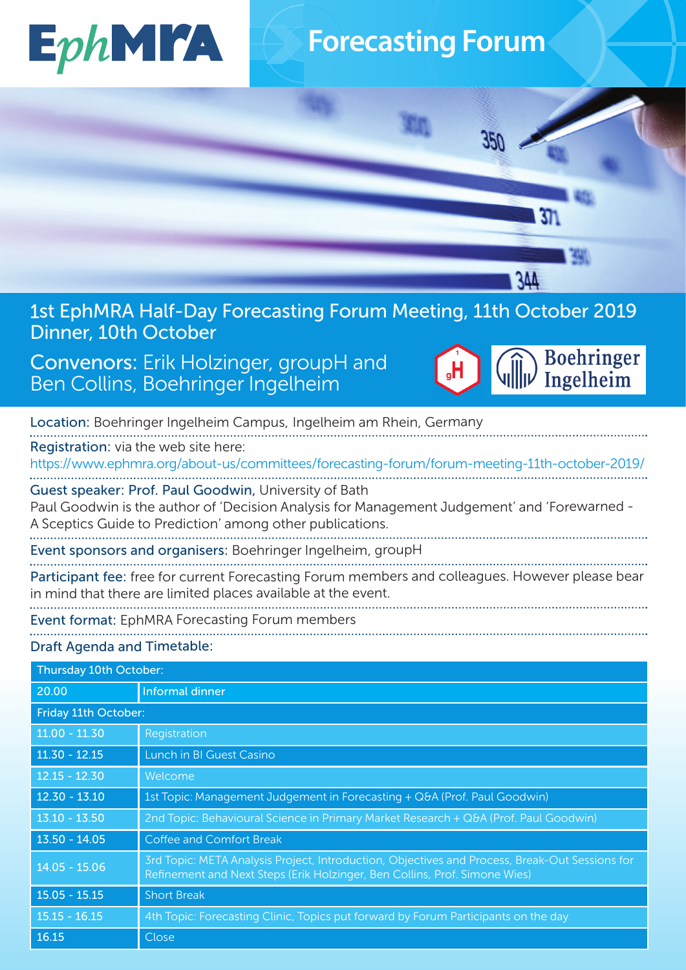

## **Forecasting Forum**

 $350$ 

1st EphMRA Half-Day Forecasting Forum Meeting, 11th October 2019 Dinner, 10th October

## Convenors: Erik Holzinger, groupH and Ben Collins, Boehringer Ingelheim



1344

 $31$ 

 $\blacksquare$ 

|                                                                                                                                                                                                                    | Location: Boehringer Ingelheim Campus, Ingelheim am Rhein, Germany |  |
|--------------------------------------------------------------------------------------------------------------------------------------------------------------------------------------------------------------------|--------------------------------------------------------------------|--|
| Registration: via the web site here:<br>https://www.ephmra.org/about-us/committees/forecasting-forum/forum-meeting-11th-october-2019/                                                                              |                                                                    |  |
| Guest speaker: Prof. Paul Goodwin, University of Bath<br>Paul Goodwin is the author of 'Decision Analysis for Management Judgement' and 'Forewarned -<br>A Sceptics Guide to Prediction' among other publications. |                                                                    |  |
|                                                                                                                                                                                                                    | Event sponsors and organisers: Boehringer Ingelheim, groupH        |  |
| Participant fee: free for current Forecasting Forum members and colleagues. However please bear<br>in mind that there are limited places available at the event.                                                   |                                                                    |  |
| <b>Event format: EphMRA Forecasting Forum members</b>                                                                                                                                                              |                                                                    |  |
| <b>Draft Agenda and Timetable:</b>                                                                                                                                                                                 |                                                                    |  |
| Thursday 10th October:                                                                                                                                                                                             |                                                                    |  |
| 20.00                                                                                                                                                                                                              | <b>Informal dinner</b>                                             |  |
| Friday 11th October:                                                                                                                                                                                               |                                                                    |  |

| Friday 11th October: |                                                                                                                                                                              |
|----------------------|------------------------------------------------------------------------------------------------------------------------------------------------------------------------------|
| $11.00 - 11.30$      | Registration                                                                                                                                                                 |
| $11.30 - 12.15$      | Lunch in BI Guest Casino                                                                                                                                                     |
| $12.15 - 12.30$      | Welcome                                                                                                                                                                      |
| $12.30 - 13.10$      | 1st Topic: Management Judgement in Forecasting + Q&A (Prof. Paul Goodwin)                                                                                                    |
| $13.10 - 13.50$      | 2nd Topic: Behavioural Science in Primary Market Research + Q&A (Prof. Paul Goodwin)                                                                                         |
| $13.50 - 14.05$      | Coffee and Comfort Break                                                                                                                                                     |
| $14.05 - 15.06$      | 3rd Topic: META Analysis Project, Introduction, Objectives and Process, Break-Out Sessions for<br>Refinement and Next Steps (Erik Holzinger, Ben Collins, Prof. Simone Wies) |
| $15.05 - 15.15$      | <b>Short Break</b>                                                                                                                                                           |
| $15.15 - 16.15$      | 4th Topic: Forecasting Clinic, Topics put forward by Forum Participants on the day                                                                                           |
| 16.15                | Close                                                                                                                                                                        |